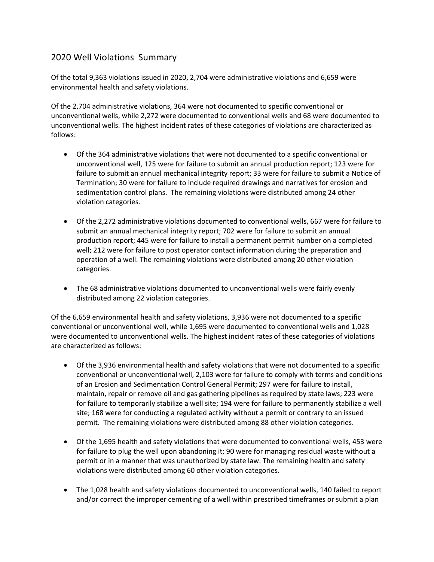## 2020 Well Violations Summary

Of the total 9,363 violations issued in 2020, 2,704 were administrative violations and 6,659 were environmental health and safety violations.

Of the 2,704 administrative violations, 364 were not documented to specific conventional or unconventional wells, while 2,272 were documented to conventional wells and 68 were documented to unconventional wells. The highest incident rates of these categories of violations are characterized as follows:

- Of the 364 administrative violations that were not documented to a specific conventional or unconventional well, 125 were for failure to submit an annual production report; 123 were for failure to submit an annual mechanical integrity report; 33 were for failure to submit a Notice of Termination; 30 were for failure to include required drawings and narratives for erosion and sedimentation control plans. The remaining violations were distributed among 24 other violation categories.
- Of the 2,272 administrative violations documented to conventional wells, 667 were for failure to submit an annual mechanical integrity report; 702 were for failure to submit an annual production report; 445 were for failure to install a permanent permit number on a completed well; 212 were for failure to post operator contact information during the preparation and operation of a well. The remaining violations were distributed among 20 other violation categories.
- The 68 administrative violations documented to unconventional wells were fairly evenly distributed among 22 violation categories.

Of the 6,659 environmental health and safety violations, 3,936 were not documented to a specific conventional or unconventional well, while 1,695 were documented to conventional wells and 1,028 were documented to unconventional wells. The highest incident rates of these categories of violations are characterized as follows:

- Of the 3,936 environmental health and safety violations that were not documented to a specific conventional or unconventional well, 2,103 were for failure to comply with terms and conditions of an Erosion and Sedimentation Control General Permit; 297 were for failure to install, maintain, repair or remove oil and gas gathering pipelines as required by state laws; 223 were for failure to temporarily stabilize a well site; 194 were for failure to permanently stabilize a well site; 168 were for conducting a regulated activity without a permit or contrary to an issued permit. The remaining violations were distributed among 88 other violation categories.
- Of the 1,695 health and safety violations that were documented to conventional wells, 453 were for failure to plug the well upon abandoning it; 90 were for managing residual waste without a permit or in a manner that was unauthorized by state law. The remaining health and safety violations were distributed among 60 other violation categories.
- The 1,028 health and safety violations documented to unconventional wells, 140 failed to report and/or correct the improper cementing of a well within prescribed timeframes or submit a plan